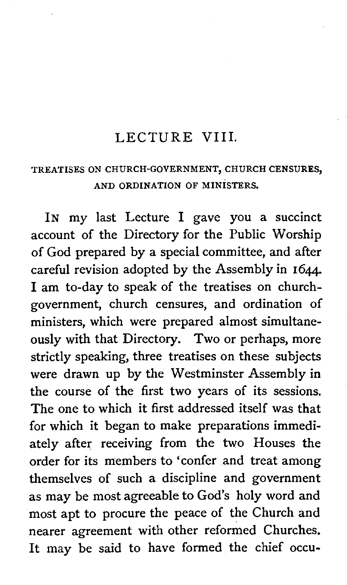#### LECTURE VIII.

#### TREATISES ON CHURCH-GOVERNMENT, CHURCH CENSURES, AND ORDINATION OF MINISTERS.

IN my last Lecture I gave you a succinct account of the Directory for the Public Worship of God prepared by a special committee, and after careful revision adopted by the Assembly in 1644. I am to-day to speak of the treatises on churchgovernment, church censures, and ordination of ministers, which were prepared almost simultaneously with that Directory. Two or perhaps, more strictly speaking, three treatises on these subjects were drawn up by the Westminster Assembly in the course of the first two years of its sessions. The one to which it first addressed itself was that for which it began to make preparations immediately after receiving from the two Houses the order for its members to 'confer and treat among themselves of such a discipline and government as may be most agreeable to God's holy word and most apt to procure the peace of the Church and nearer agreement with other reformed Churches. It may be said to have formed the chief occu-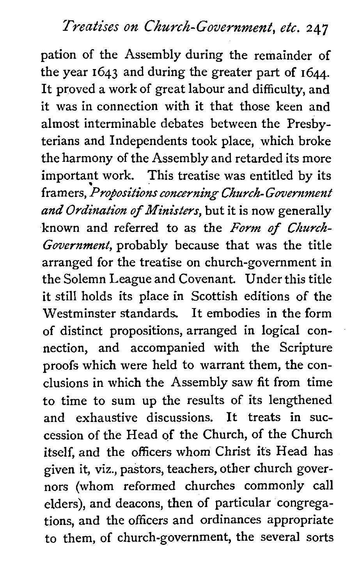## Treatises on Church-Government, etc. **247**

pation of the Assembly during the remainder of the year **1643** and during the greater part of 1644. It proved a work of great labour and difficulty, and it was in connection with it that those keen and almost interminable debates between the Presbyterians and Independents took place, which broke the harmony of the Assembly and retarded its more important work. This treatise was entitled by its framers, Propositions concerning Church- Government *and* Ordination of Ministers, but it is now generally known and referred to as the Form of Church-Government, probably because that was the title arranged for the treatise on church-government in the Solemn League and Covenant. Under this title it still holds its place in Scottish editions of the Westminster standards. It embodies in the form of distinct propositions, arranged in logical connection, and accompanied with the Scripture proofs which were held to warrant them, the conclusions in which the Assembly saw fit from time to time to sum up the results of its lengthened and exhaustive discussions. It treats in succession of the Head of the Church, of the Church itself, and the officers whom Christ its Head has given it, viz., pastors, teachers, other church governors (whom reformed churches commonly call elders), and deacons, then of particular congregations, and the officers and ordinances appropriate to them, of church-government, the several sorts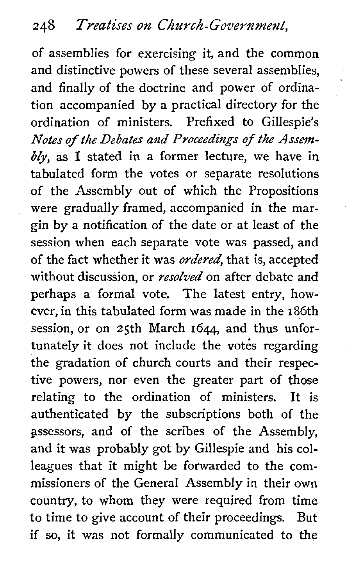of assemblies for exercising it, and the common and distinctive powers of these several assemblies, and finally of the doctrine and power of ordination accompanied by a practical directory for the ordination of ministers. Prefixed to Gillespie's *Notes of the Debates and Proceedings of the Assem* $bly$ , as I stated in a former lecture, we have in tabulated form the votes or separate resolutions of the Assembly out of which the Propositions were gradually framed, accompanied in the margin by a notification of the date or at least of the session when each separate vote was passed, and of the fact whether it was *ordered*, that is, accepted without discussion, or *resolved* on after debate and perhaps a formal vote. The latest entry, however, in this tabulated form was made in the 186th session, or on 25th March 1644, and thus unfortunately it does not include the votes regarding the gradation of church courts and their respective powers, nor even the greater part of those relating to the ordination of ministers. It is authenticated by the subscriptions both of the gssessors, and of the scribes of the Assembly, and it was probably got by Gillespie and his colleagues that it might be forwarded to the commissioners of the General Assembly in their own country, to whom they were required from time to time to give account of their proceedings. But if so, it was not formally communicated to the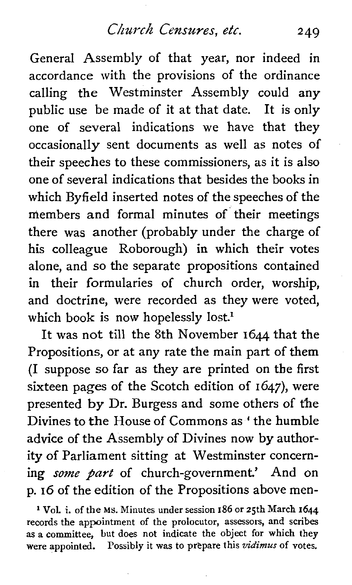Church Censures, etc. 249

General Assembly of that year, nor indeed in accordance with the provisions of the ordinance calling the Westminster Assembly could any public use be made of it at that date. It is only one of several indications we have that they occasionalIy sent documents as well as notes of their speeches to these commissioners, as it is also one of several indications that besides the books in which Byfield inserted notes of the speeches of the members and formal minutes of their meetings there was another (probably under the charge of his colleague Roborough) in which their votes alone, and so the separate propositions contained in their formularies of church order, worship, and doctrine, were recorded as they were voted, which book is now hopelessly lost.<sup>1</sup>

It was not till the 8th November **1644** that the Propositions, or at any rate the main part of them (I suppose so far as they are printed on the first sixteen pages of the Scotch edition of 1647), were presented by Dr. Burgess and some others of the Divines to the House of Commons as ' the humble advice of the Assembly of Divines now by authority of Parliament sitting at Westminster concerning *some part* of church-government.' And on p. **16** of the edition of the Propositions above men-

**l** VoL i. of the **Ms.** Minutes under session **186** or 25th March **1644**  records the appointment of the prolocutor, assessors, and scribes as a committee, but does not indicate the object for which they were appointed. Possibly it was to prepare this *vidimus* of votes.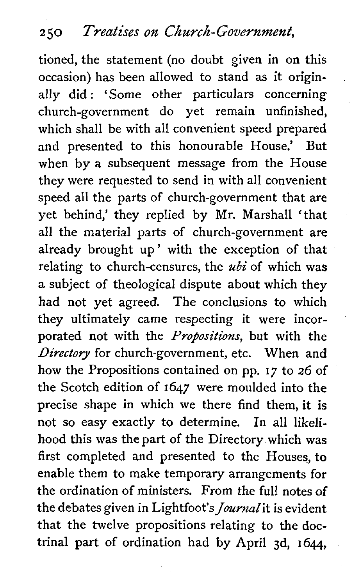tioned, the statement (no doubt given in on this occasion) has been allowed to stand as it originally did : 'Some other particulars concerning church-government do yet remain unfinished, which shall be with all convenient speed prepared and presented to this honourable House.' But when by a subsequent message from the House they were requested to send in with all convenient speed all the parts of church-government that are yet behind,' they replied by Mr. Marshal1 'that all the material parts of church-government are already brought up' with the exception of that relating to church-censures, the  $ubi$  of which was a subject of theological dispute about which they had not yet agreed. The conclusions to which they ultimately came respecting it were incorporated not with the *Propositions*, but with the Directory for church-government, etc. When and how the Propositions contained on pp. 17 to 26 of the Scotch edition of 1647 were moulded into the precise shape in which we there find them, it is not so easy exactly to determine. In all likelihood this was the part of the Directory which was first completed and presented to the Houses, to enable them to make temporary arrangements for the ordination of ministers. From the full notes of the debates given in Lightfoot's *Journal* it is evident that the twelve propositions relating to the doctrinal part of ordination had by April 3d, 1644,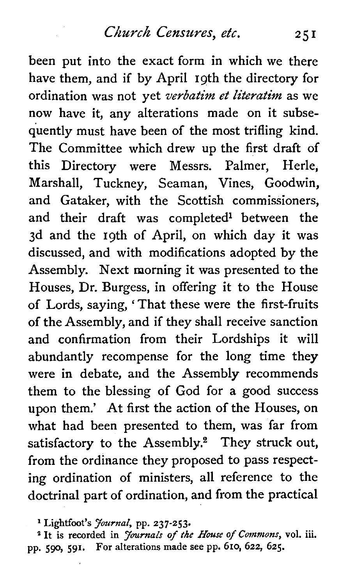been put into the exact form in which we there have them, and if by April 19th the directory for ordination was not yet *verbatim et literatim* as we now have it, any alterations made on it subsequently must have been of the most trifling kind. The Committee which drew up the first draft of this Directory were Messrs. Palmer, Herle, Marshall, Tuckney, Seaman, Vines, Goodwin, and Gataker, with the Scottish commissioners, and their draft was completed<sup>1</sup> between the 3d and the 19th of April, on which day it was discussed, and with modifications adopted by the Assembly. Next morning it was presented to the Houses, Dr. Burgess, in offering it to the House of Lords, saying, ' That these were the first-fruits of the Assembly, and if they shall receive sanction and confirmation from their Lordships it will abundantly recompense for the long time they were in debate, and the Assembly recommends them to the blessing of God for a good success upon them.' At first the action of the Houses, on what had been presented to them, was far from satisfactory to the Assembly.<sup>2</sup> They struck out. from the ordinance they proposed to pass respecting ordination of ministers, all reference to the doctrinal part of ordination, and from the practical

**l Lightfoot's** *Jou~nal,* **pp. 237-253.** 

<sup>2</sup> It is recorded in *Journals of the House of Commons*, vol. iii. **pp. 59, 591. For alterations made see pp. 610, 622, 625.**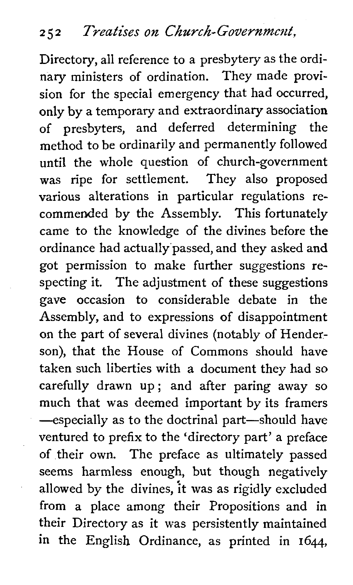Directory, all reference to a presbytery as the ordinary ministers of ordination. They made provision for the special emergency that had occurred, only by a temporary and extraordinary association of presbyters, and deferred determining the method to be ordinarily and permanently followed until the whole question of church-government was ripe for settlement. They also proposed various alterations in particular regulations recommended by the Assembly. This fortunately came to the knowledge of the divines before the ordinance had actually passed, and they asked and got permission to make further suggestions respecting it. The adjustment of these suggestions gave occasion to considerable debate in the Assembly, and to expressions of disappointment on the part of several divines (notably of Henderson), that the House of Commons should have taken such liberties with a document they had so carefully drawn up; and after paring away so much that was deemed important by its framers -especially as to the doctrinal part-should have ventured to prefix to the 'directory part' a preface of their own. The preface as ultimately passed seems harmless enough, but though negatively allowed by the divines, it was as rigidly excluded from a place among their Propositions and in their Directory as it was persistently maintained in the English Ordinance, as printed in **1644,**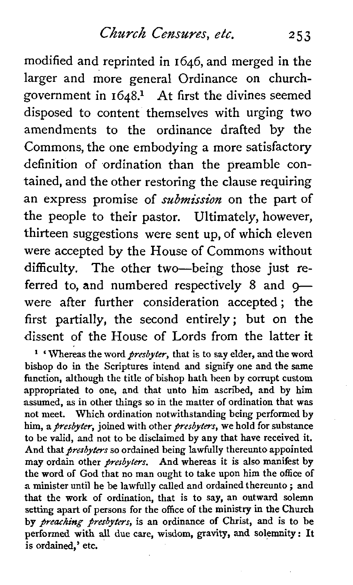modified and reprinted in 1646, and merged in the larger and more general Ordinance on churchgovernment in  $1648$ <sup>1</sup> At first the divines seemed disposed to content themselves with urging two amendments to the ordinance drafted by the Commons, the one embodying a more satisfactory definition of ordination than the preamble contained, and the other restoring the clause requiring an express promise of **submission** on the part of the people to their pastor. Ultimately, however, thirteen suggestions were sent up, of which eleven were accepted by the House of Commons without difficulty. The other two-being those just referred to, and numbered respectively  $8$  and  $9$ were after further consideration accepted; the first partially, the second entirely; but on the dissent of the House of Lords from the latter it

<sup>1</sup> 'Whereas the word *presbyter*, that is to say elder, and the word bishop do in the Scriptures intend and signify one and the same function, although the title of bishop hath been by corrupt custom appropriated to one, and that unto him ascribed, and by him assumed, as in other things so in the matter of ordination that was not meet. Which ordination notwithstanding being performed by him, a *presbyter*, joined with other *presbyters*, we hold for substance to be valid, and not to be disclaimed by any that have received it. And that *presbyters* so ordained being lawfully thereunto appointed may ordain other *presbyters*. And whereas it is also manifest by the word of God that no man ought to take upon him the office of a minister until he be lawfully called and ordained thereunto ; and that the work of ordination, that is to say, an outward solemn setting apart of persons for the office of the ministry in the Church by *preaching presbyters*, is an ordinance of Christ, and is to be performed with all due care, wisdom, gravity, and solemnity: It is ordained,' etc.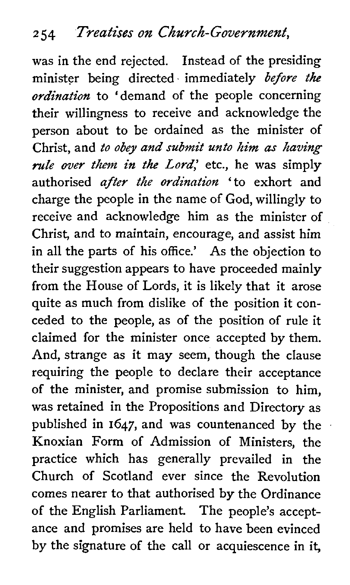was in the end rejected. Instead of the presiding minister being directed immediately *before the ordination* to 'demand of the people concerning their willingness to receive and acknowledge the person about to be ordained as the minister of Christ, and *to obey and submit unto him as having rule over them in the Lord*, etc., he was simply authorised *after the ordination* 'to exhort and charge the people in the name of God, willingly to receive and acknowledge him as the minister of Christ, and to maintain, encourage, and assist him in all the parts of his office.' As the objection to their suggestion appears to have proceeded mainly from the House of Lords, it is likely that it arose quite as much from dislike of the position it conceded to the people, as of the position of rule it claimed for the minister once accepted by them. And, strange as it may seem, though the clause requiring the people to declare their acceptance of the minister, and promise submission to him, was retained in the Propositions and Directory as published in 1647, and was countenanced by the Knoxian Form of Admission of Ministers, the practice which has generally prevailed in the Church of Scotland ever since the Revolution comes nearer to that authorised by the Ordinance of the English Parliament. The people's acceptance and promises are held to have been evinced by the signature of the call or acquiescence in it,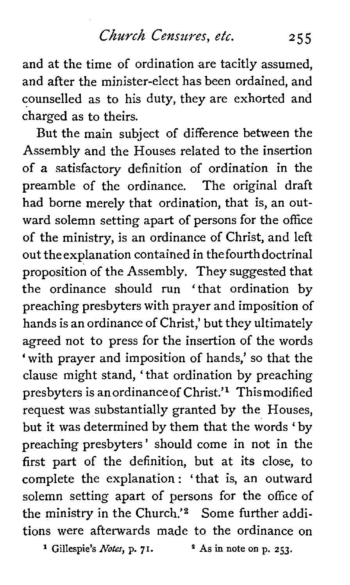and at the time of ordination are tacitly assumed, and after the minister-elect has been ordained, and counselled as to his duty, they are exhorted and charged as to theirs.

But the main subject of difference between the Assembly and the Houses related to the insertion of **a** satisfactory definition of ordination in the preamble of the ordinance. The original draft had borne merely that ordination, that is, an outward solemn setting apart of persons for the office of the ministry, is an ordinance of Christ, and left out theexplanation contained in thefourthdoctrinal proposition of the Assembly. They suggested that the ordinance should run 'that ordination by preaching presbyters with prayer and imposition of hands is an ordinance of Christ,' but they ultimately agreed not to press for the insertion of the words 'with prayer and imposition of hands,' so that the clause might stand, 'that ordination by preaching presbyters is an ordinance of Christ.<sup>11</sup> Thismodified request was substantially granted by the Houses, but it was determined by them that the words 'by preaching presbyters' should come in not in the first part of the definition, but at its close, to complete the explanation : 'that is, an outward solemn setting apart of persons for the office of the ministry in the Church.'<sup>2</sup> Some further additions were afterwards made to the ordinance on

**<sup>1</sup>** Gillespie's *Notes*, **p. 71.**  $\qquad$  **<sup>2</sup>** As in note on p. 253.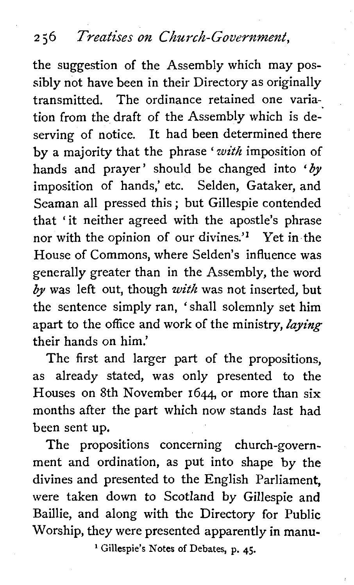the suggestion of the Assembly which may possibly not have been in their Directory as originally transmitted. The ordinance retained one variation from the draft of the Assembly which is deserving of notice. It had been determined there by a majority that the phrase 'with imposition of hands and prayer' should be changed into *'by*  imposition of hands,' etc. Selden, Gataker, and Seaman all pressed this ; but Gillespie contended that 'it neither agreed with the apostle's phrase nor with the opinion of our divines.'<sup>1</sup> Yet in the House of Commons, where Selden's influence was generally greater than in the Assembly, the word  $by$  was left out, though with was not inserted, but the sentence simply ran, 'shall solemnly set him apart to the office and work of the ministry, **laying**  their hands on him.'

The first and larger part of the propositions, as already stated, was only presented to the Houses on 8th November 1644 or more than six months after the part which now stands last had been sent up.

The propositions concerning church-government and ordination, as put into shape by the divines and presented to the English Parliament, were taken down to Scotland by Gillespie and Baillie, and along with the Directory for Public Worship, they were presented apparently in manu-

' **Gillespie's Notes of Debates, p. 45.**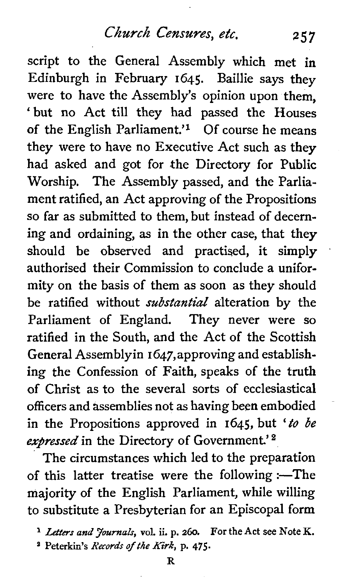## *Church* Censures, etc. **<sup>257</sup>**

script to the General Assembly which met in Edinburgh in February 1645. Baillie says they were to have the Assembly's opinion upon them, 'but no Act till they had passed the Houses of the English Parliament.'<sup>1</sup> Of course he means they were to have no Executive Act such as they had asked and got for the Directory for Public Worship. The Assembly passed, and the Parliament ratified, an Act approving of the Propositions so far as submitted to them, but instead of decerning and ordaining, as in the other case, that they should be observed and practised, it simply authorised their Commission to conclude a uniformity on the basis of them as soon as they should be ratified without *substantial* alteration by the Parliament of England. They never were so ratified in the South, and the Act of the Scottish General Assembly in 1647, approving and establishing the Confession of Faith, speaks of the truth of Christ as to the several sorts of ecclesiastical officers and assemblies not as having been embodied in the Propositions approved in 1645, but *'to be expressed* in the Directory of Government.'

The circumstances which led to the preparation of this latter treatise were the following :--The majority of the English Parliament, while willing to substitute a Presbyterian for an Episcopal form

**<sup>a</sup>**Peterkin's **Records** of **the** *Kirk,* **p. 475.** 

**Letters and Journals,** vol. ii. p. 260. For the **Act** see Note K.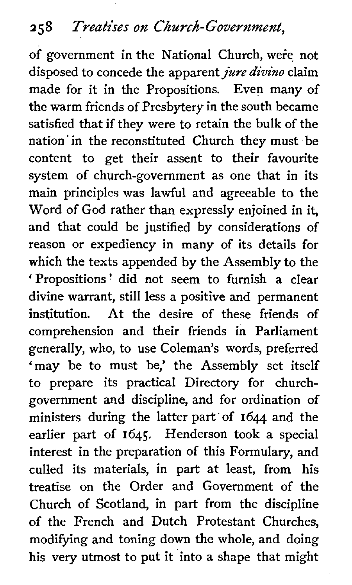# **2 5 8** *Treatises on Chu~ch- Government,*

of government in the National Church, were not disposed to concede the apparent *jure divino* claim made for it in the Propositions. Even many of the warm friends of Presbytery in the south became satisfied that if they were to retain the bulk of the nation in the reconstituted Church they must be content to get their assent to their favourite system of church-government as one that in its main principles was lawful and agreeable to the Word of God rather than expressly enjoined in it, and that could be justified by considerations of reason or expediency in many of its details for which the texts appended by the Assembly to the 'Propositions? did not seem to furnish a clear divine warrant, still less a positive and permanent institution. At the desire of these friends of comprehension and their friends in Parliament generally, who, to use Coleman's words, preferred 'may be to must be,' the Assembly set itself to prepare its practical Directory for churchgovernment and discipline, and for ordination of ministers during the latter part of 1644 and the earlier part of 1645. Henderson took a special interest in the preparation of this Formulary, and culled its materials, in part at least, from his treatise on the Order and Government of the Church of Scotland, in part from the discipline of the French and Dutch Protestant Churches, modifying and toning down the whole, and doing his very utmost to put it into a shape that might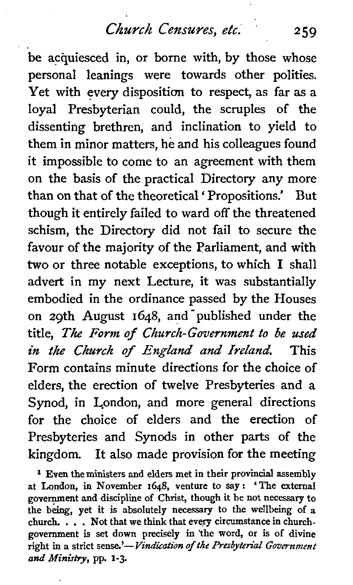be acquiesced in, or borne with, by those whose personal leanings were towards other polities. Yet with every disposition to respect, as far as a loyal Presbyterian could, the scruples of the dissenting brethren, and inclination to yield to them in minor matters, he and his colleagues found it impossible to come to an agreement with them on the basis of the practical Directory any more than on that of the theoretical ' Propositions.' But though it entirely failed to ward off the threatened schism, the Directory did not fail to secure the favour of the majority of the Parliament, and with two or three notable exceptions, to which I shall advert in my next Lecture, it was substantially embodied in the ordinance passed by the Houses on 29th August 1648, and'published under the title, The *Form of Church-Government to be used in the Church* **of** *England* **and** *Ireland* This Form contains minute directions for the choice of elders, the erection of twelve Presbyteries and a Synod, in London, and more general directions for the choice of elders and the erection of Presbyteries and Synods in other parts of the kingdom. It also made provision for the meeting

<sup>1</sup> Even the ministers and elders met in their provincial assembly at London, in November 1648, venture to **say:** 'The external government and discipline of Christ, though it be not necessary to the **being,** yet it is absolutely necessary to the wellbeing of a church. . . . Not that we think that every circumstance in churchgovernment is set down precisely in the word, or is of divine right in a strict sense.'-Vindication of the Presbyterial Government *and* **Ministry,** pp. 1-3.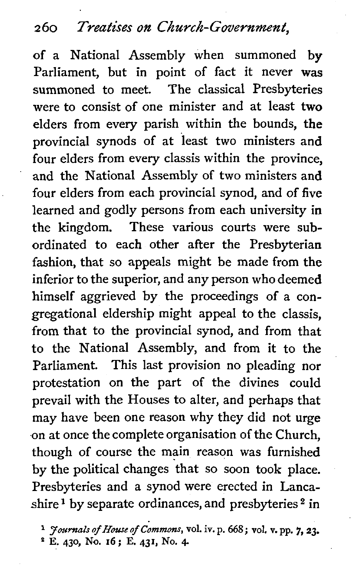### *2 60 Treatises on Church-Government,*

of a National Assembly when summoned by Parliament, but in point of fact it never **was**  summoned to meet. The classical Presbyteries were to consist of one minister and at least two elders from every parish within the bounds, the provincial synods of at least two ministers and four elders from every classis within the province, and the National Assembly of two ministers and four elders from each provincial synod, and of five learned and godly persons from each university in the kingdom. These various courts were subordinated to each other after the Presbyterian fashion, that so appeals might be made from the inferior to the superior, and any person who deemed himself aggrieved by the proceedings of a congregational eldership might appeal to the classis, from that to the provincial synod, and from that to the National Assembly, and from it to the Parliament. This last provision no pleading nor protestation on the part of the divines could prevail with the Houses to alter, and perhaps that may have been one reason why they did not urge on at once the complete organisation of the Church, though of course the main reason was furnished by the political changes that so soon took place. Presbyteries and a synod were erected in Lancashire<sup>1</sup> by separate ordinances, and presbyteries  $2$  in

**E. 430, NO. 16; E. 431, NO. 4-** 

**<sup>1</sup> Joumalsof HouseofCommons, vol. iv.p. 668; vol. v.pp. 7,23.**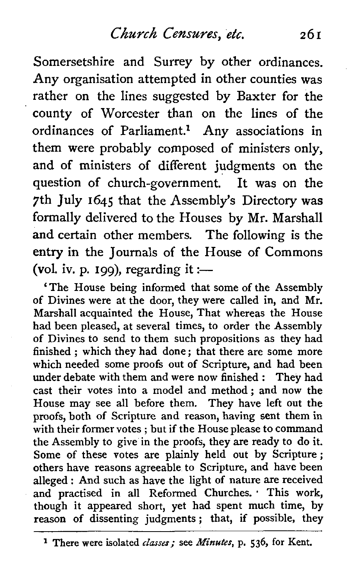Somersetshire and Surrey by other ordinances. Any organisation attempted in other counties was rather on the lines suggested by Baxter for the county of Worcester than on the lines of the ordinances of Parliament.<sup>1</sup> Any associations in them were probably composed of ministers only, and of ministers of different judgments on the question of church-government. It was on the 7th July 1645 that the Assembly's Directory was formally delivered to the Houses by Mr. Marshal1 and certain other members. The following is the entry in the Journals of the House of Commons (vol. iv. p. 199), regarding it :-

'The House being informed that some of the Assembly of Divines were at the door, they were called in, and Mr. Marshal1 acquainted the House, That whereas the House had been pleased, at several times, to order the Assembly of Divines to send to them such propositions as they had finished ; which they had done; that there are some more which needed some proofs out of Scripture, and had been under debate with them and were now finished : They had cast their votes into a model and method; and now the House may see all before them. They have left out the proofs, both of Scripture and reason, having sent them in with their former votes ; but if the House please to command the Assembly to give in the proofs, they are ready to do it. Some of these votes are plainly held out by Scripture ; others have reasons agreeable to Scripture, and have been alleged : And such as have the light of nature are received and practised in all Reformed Churches. This work, though it appeared short, yet had spent much time, by though it appeared short, yet had spent much time, by<br>reason of dissenting judgments; that, if possible, they p-

--

**<sup>1</sup>** There were isolated *classes;* see **Minutes,** p. *536,* for Kent.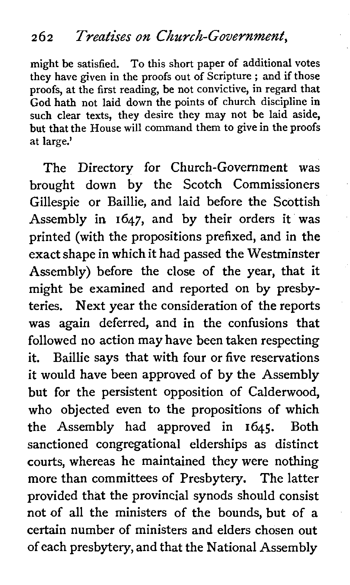might be satisfied. To this short paper of additional votes they have given in the proofs out of Scripture ; and if those proofs, at the first reading, be not convictive, in regard that God hath not laid down the points of church discipline in such clear texts, they desire they may not be laid aside, but that the House will command them to give in the proofs at large.'

The Directory for Church-Government was brought down by the Scotch Commissioners Gillespie or Baillie, and laid before the Scottish Assembly in 1647, and by their orders it was printed (with the propositions prefixed, and in the exact shape in which it had passed the Westminster Assembly) before the close of the year, that it might be examined and reported on by presbyteries. Next year the consideration of the reports was again deferred, and in the confusions that followed no action may have been taken respecting it. Baillie says that with four or five reservations it would have been approved of by the Assembly but for the persistent opposition of Calderwood, who objected even to the propositions of which the Assembly had approved in 1645. Both sanctioned congregational elderships as distinct courts, whereas he maintained they were nothing more than committees of Presbytery. The latter provided that the provincial synods should consist not of all the ministers of the bounds, but of a certain number of ministers and elders chosen out of each presbytery, and that the National Assembly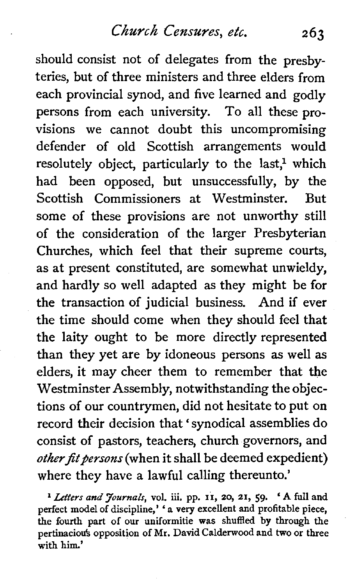should consist not of delegates from the presbyteries, but of three ministers and three elders from each provincial synod, and five learned and godly persons from each university. To all these provisions we cannot doubt this uncompromising defender of old Scottish arrangements would resolutely object, particularly to the last.<sup>1</sup> which had been opposed, but unsuccessfully, by the Scottish Commissioners at Westminster. But some of these provisions are not unworthy still of the consideration of the larger Presbyterian Churches, which feel that their supreme courts, as at present constituted, are somewhat unwieldy, and hardly so well adapted as they might be for the transaction of judicial business. And if ever the time should come when they should feel that the laity ought to be more directly represented than they yet are by idoneous persons as well as elders, it may cheer them to remember that the Westminster Assembly, notwithstanding the objections of our countrymen, did not hesitate to put on record their decision that ' synodical assemblies do consist of pastors, teachers, church governors, and *other fit persons* (when it shall be deemed expedient) where they have a lawful calling thereunto.'

**<sup>l</sup>***Letters and Journals,* **vol. iii. pp. 11, 20, 21, 59.** ' **A full and perfect model of discipline,'** ' **a very excellent and profitable piece, the fourth part of our uniformitie was shuffled by through the pertinaciods opposition of Mr. David Calderwood and two or three with him.'**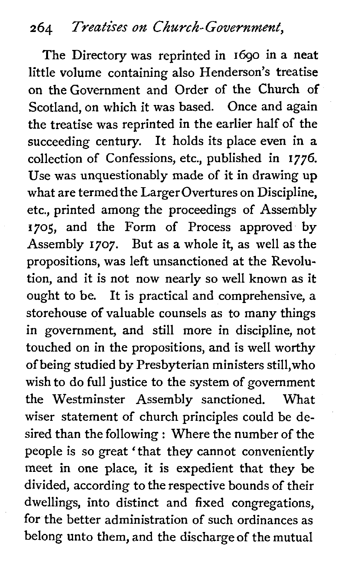## **<sup>2</sup>64** Treatises on *Church-* Government,

The Directory was reprinted in 1690 in a neat little volume containing also Henderson's treatise on the Government and Order of the Church of Scotland, on which it was based. Once and again the treatise was reprinted in the earlier half of the succeeding century. It holds its place even in a collection of Confessions, etc., published in 1776. Use was unquestionably made of it in drawing up what are termed the Larger Overtures on Discipline, etc., printed among the proceedings of Assembly 1705, and the Form of Process approved by Assembly 1707. But as a whole it, as well as the propositions, was left unsanctioned at the Revolution, and it is not now nearly so well known as it ought to be. It is practical and comprehensive, a storehouse of valuable counsels as to many things in government, and still more in discipline, not touched on in the propositions, and is well worthy of being studied by Presbyterian ministers stil1,who wish to do full justice to the system of government the Westminster Assembly sanctioned. What wiser statement of church principles could be desired than the following : Where the number of the people is so great 'that they cannot conveniently meet in one place, it is expedient that they be divided, according to the respective bounds of their dwellings, into distinct and fixed congregations, for the better administration of such ordinances as belong unto them, and the discharge of the mutual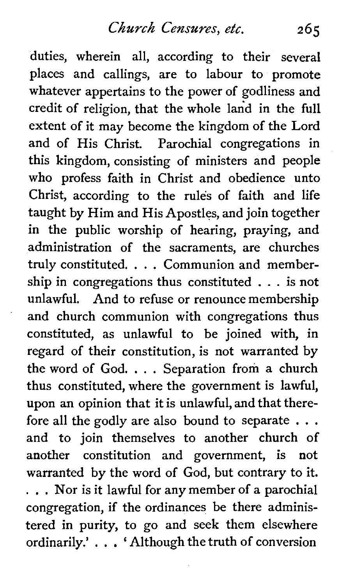duties, wherein all, according to their several places and callings, are to labour to promote whatever appertains to the power of godliness and credit of religion, that the whole land in the full extent of it may become the kingdom of the Lord and of His Christ. Parochial congregations in this kingdom, consisting of ministers and people who profess faith in Christ and obedience unto Christ, according to the rules of faith and life taught by Him and His Apostles, and join together in the public worship of hearing, praying, and administration of the sacraments, are churches truly constituted. . . . Communion and membership in congregations thus constituted . . . is not unlawful. And to refuse or renounce membership and church communion with congregations thus constituted, as unlawful to be joined with, in regard of their constitution, is not warranted by the word of God. . . . Separation from a church thus constituted, where the government is lawful, upon an opinion that it is unlawful, and that therefore all the godly are also bound to separate . . . and to join themselves to another church of another constitution and government, is not warranted by the word of God, but contrary to it. . . . Nor is it lawful for any member of a parochial congregation, if the ordinances be there administered in purity, to go and seek them elsewhere ordinarily.' . . . ' Although the truth of conversion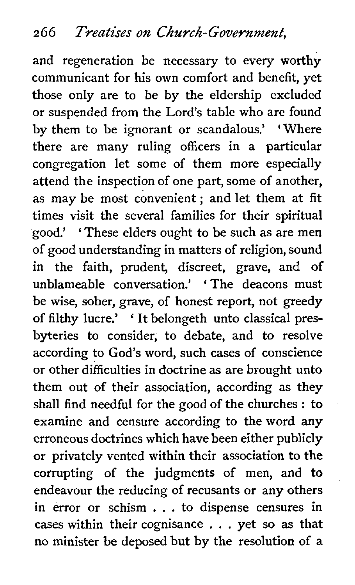and regeneration be necessary to every worthy communicant for his own comfort and benefit, yet those only are to be by the eldership excluded or suspended from the Lord's table who are found by them to be ignorant or scandalous.' 'Where there are many ruling officers in a particular congregation let some of them more especially attend the inspection of one part, some of another, as may be most convenient; and let them at fit times visit the several families for their spiritual good.' ' These elders ought to be such as are men of good understanding in matters of religion, sound in the faith, prudent, discreet, grave, and of unblameable conversation.' ' The deacons must be wise, sober, grave, of honest report, not greedy of filthy lucre.' ' It belongeth unto classical presbyteries to consider, to debate, and to resolve according to God's word, such cases of conscience or other difficulties in doctrine as are brought unto them out of their association, according as they shall find needful for the good of the churches : to examine and censure according to the word any erroneous doctrines which have been either publicly or privately vented within their association to the corrupting of the judgments of men, and to endeavour the reducing of recusants or any others in error or schism . . . to dispense censures in cases within their cognisance . . . yet so as that no minister be deposed but by the resolution of a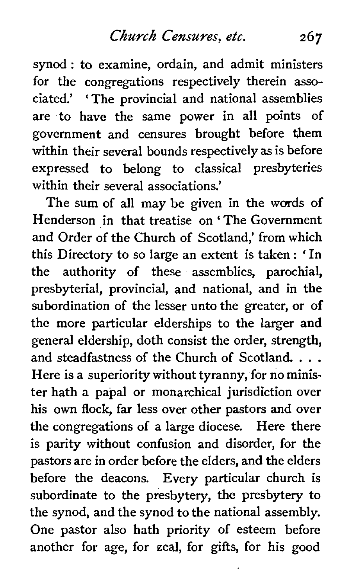synod : to examine, ordain, and admit ministers for the congregations respectively therein associated.' 'The provincial and national assemblies are to have the same power in all points of government and censures brought before them within their several bounds respectively as is before expressed to belong to classical presbyteries within their several associations.'

The sum of all may be given in the words of Henderson in that treatise on ' The Government and Order of the Church of Scotland,' from which this Directory to so large an extent is taken : 'In the authority of these assemblies, parochial, presbyterial, provincial, and national, and in the subordination of the lesser unto the greater, or of the more particular elderships to the larger and general eldership, doth consist the order, strength, and steadfastness of the Church of Scotland. . . . Here is a superiority without tyranny, for no minister hath a papal or monarchical jurisdiction over his own flock, far less over other pastors and over the congregations of a large diocese. Here there is parity without confusion and disorder, for the pastors are in order before the elders, and the elders before the deacons. Every particular church is subordinate to the presbytery, the presbytery to the synod, and the synod to the national assembly. One pastor also hath priority of esteem before another for age, for zeal, for gifts, for his good